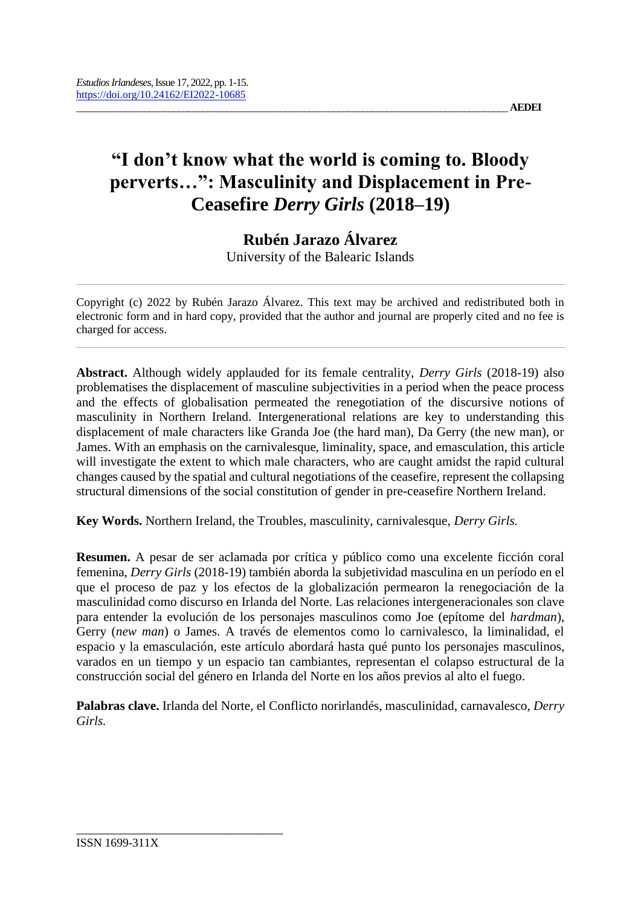# **"I don't know what the world is coming to. Bloody perverts…": Masculinity and Displacement in Pre-Ceasefire** *Derry Girls* **(2018–19)**

**Rubén Jarazo Álvarez**

University of the Balearic Islands

Copyright (c) 2022 by Rubén Jarazo Álvarez. This text may be archived and redistributed both in electronic form and in hard copy, provided that the author and journal are properly cited and no fee is charged for access.

**Abstract.** Although widely applauded for its female centrality, *Derry Girls* (2018-19) also problematises the displacement of masculine subjectivities in a period when the peace process and the effects of globalisation permeated the renegotiation of the discursive notions of masculinity in Northern Ireland. Intergenerational relations are key to understanding this displacement of male characters like Granda Joe (the hard man), Da Gerry (the new man), or James. With an emphasis on the carnivalesque, liminality, space, and emasculation, this article will investigate the extent to which male characters, who are caught amidst the rapid cultural changes caused by the spatial and cultural negotiations of the ceasefire, represent the collapsing structural dimensions of the social constitution of gender in pre-ceasefire Northern Ireland.

**Key Words.** Northern Ireland, the Troubles, masculinity, carnivalesque, *Derry Girls.*

**Resumen.** A pesar de ser aclamada por crítica y público como una excelente ficción coral femenina, *Derry Girls* (2018-19) también aborda la subjetividad masculina en un período en el que el proceso de paz y los efectos de la globalización permearon la renegociación de la masculinidad como discurso en Irlanda del Norte. Las relaciones intergeneracionales son clave para entender la evolución de los personajes masculinos como Joe (epítome del *hardman*), Gerry (*new man*) o James. A través de elementos como lo carnivalesco, la liminalidad, el espacio y la emasculación, este artículo abordará hasta qué punto los personajes masculinos, varados en un tiempo y un espacio tan cambiantes, representan el colapso estructural de la construcción social del género en Irlanda del Norte en los años previos al alto el fuego.

**Palabras clave.** Irlanda del Norte, el Conflicto norirlandés, masculinidad, carnavalesco, *Derry Girls.*

\_\_\_\_\_\_\_\_\_\_\_\_\_\_\_\_\_\_\_\_\_\_\_\_\_\_\_\_\_\_\_\_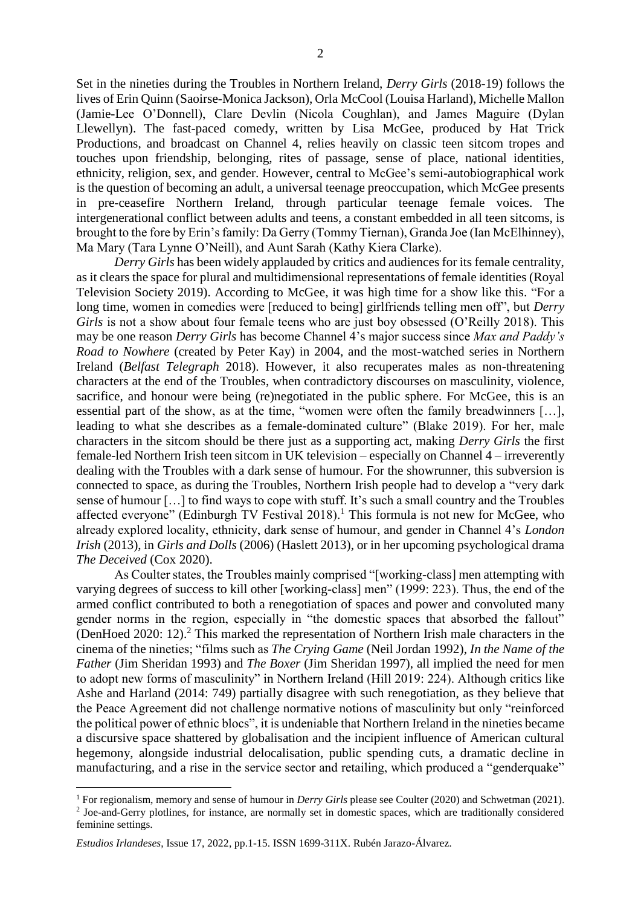Set in the nineties during the Troubles in Northern Ireland, *Derry Girls* (2018-19) follows the lives of Erin Quinn (Saoirse-Monica Jackson), Orla McCool (Louisa Harland), Michelle Mallon (Jamie-Lee O'Donnell), Clare Devlin (Nicola Coughlan), and James Maguire (Dylan Llewellyn). The fast-paced comedy, written by Lisa McGee, produced by Hat Trick Productions, and broadcast on Channel 4, relies heavily on classic teen sitcom tropes and touches upon friendship, belonging, rites of passage, sense of place, national identities, ethnicity, religion, sex, and gender. However, central to McGee's semi-autobiographical work is the question of becoming an adult, a universal teenage preoccupation, which McGee presents in pre-ceasefire Northern Ireland, through particular teenage female voices. The intergenerational conflict between adults and teens, a constant embedded in all teen sitcoms, is brought to the fore by Erin's family: Da Gerry (Tommy Tiernan), Granda Joe (Ian McElhinney), Ma Mary (Tara Lynne O'Neill), and Aunt Sarah (Kathy Kiera Clarke).

*Derry Girls* has been widely applauded by critics and audiences for its female centrality, as it clears the space for plural and multidimensional representations of female identities (Royal Television Society 2019). According to McGee, it was high time for a show like this. "For a long time, women in comedies were [reduced to being] girlfriends telling men off", but *Derry Girls* is not a show about four female teens who are just boy obsessed (O'Reilly 2018). This may be one reason *Derry Girls* has become Channel 4's major success since *Max and Paddy's Road to Nowhere* (created by Peter Kay) in 2004, and the most-watched series in Northern Ireland (*Belfast Telegraph* 2018). However, it also recuperates males as non-threatening characters at the end of the Troubles, when contradictory discourses on masculinity, violence, sacrifice, and honour were being (re)negotiated in the public sphere. For McGee, this is an essential part of the show, as at the time, "women were often the family breadwinners […], leading to what she describes as a female-dominated culture" (Blake 2019). For her, male characters in the sitcom should be there just as a supporting act, making *Derry Girls* the first female-led Northern Irish teen sitcom in UK television – especially on Channel 4 – irreverently dealing with the Troubles with a dark sense of humour. For the showrunner, this subversion is connected to space, as during the Troubles, Northern Irish people had to develop a "very dark sense of humour […] to find ways to cope with stuff. It's such a small country and the Troubles affected everyone" (Edinburgh TV Festival 2018).<sup>1</sup> This formula is not new for McGee, who already explored locality, ethnicity, dark sense of humour, and gender in Channel 4's *London Irish* (2013), in *Girls and Dolls* (2006) (Haslett 2013), or in her upcoming psychological drama *The Deceived* (Cox 2020).

As Coulter states, the Troubles mainly comprised "[working-class] men attempting with varying degrees of success to kill other [working-class] men" (1999: 223). Thus, the end of the armed conflict contributed to both a renegotiation of spaces and power and convoluted many gender norms in the region, especially in "the domestic spaces that absorbed the fallout" (DenHoed 2020: 12).<sup>2</sup> This marked the representation of Northern Irish male characters in the cinema of the nineties; "films such as *The Crying Game* (Neil Jordan 1992), *In the Name of the Father* (Jim Sheridan 1993) and *The Boxer* (Jim Sheridan 1997), all implied the need for men to adopt new forms of masculinity" in Northern Ireland (Hill 2019: 224). Although critics like Ashe and Harland (2014: 749) partially disagree with such renegotiation, as they believe that the Peace Agreement did not challenge normative notions of masculinity but only "reinforced the political power of ethnic blocs", it is undeniable that Northern Ireland in the nineties became a discursive space shattered by globalisation and the incipient influence of American cultural hegemony, alongside industrial delocalisation, public spending cuts, a dramatic decline in manufacturing, and a rise in the service sector and retailing, which produced a "genderquake"

<sup>&</sup>lt;sup>1</sup> For regionalism, memory and sense of humour in *Derry Girls* please see Coulter (2020) and Schwetman (2021). <sup>2</sup> Joe-and-Gerry plotlines, for instance, are normally set in domestic spaces, which are traditionally considered feminine settings.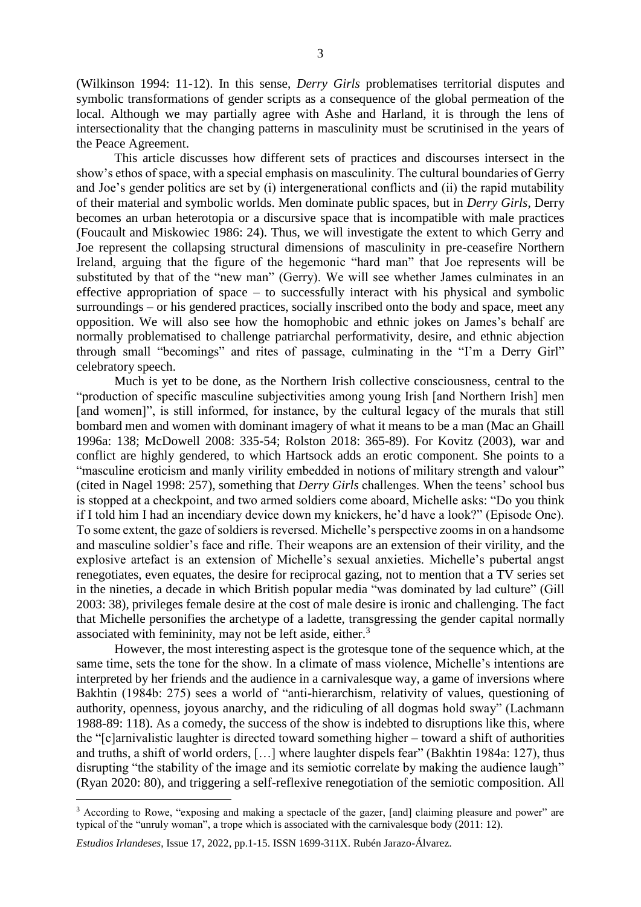(Wilkinson 1994: 11-12). In this sense, *Derry Girls* problematises territorial disputes and symbolic transformations of gender scripts as a consequence of the global permeation of the local. Although we may partially agree with Ashe and Harland, it is through the lens of intersectionality that the changing patterns in masculinity must be scrutinised in the years of the Peace Agreement.

This article discusses how different sets of practices and discourses intersect in the show's ethos of space, with a special emphasis on masculinity. The cultural boundaries of Gerry and Joe's gender politics are set by (i) intergenerational conflicts and (ii) the rapid mutability of their material and symbolic worlds. Men dominate public spaces, but in *Derry Girls*, Derry becomes an urban heterotopia or a discursive space that is incompatible with male practices (Foucault and Miskowiec 1986: 24). Thus, we will investigate the extent to which Gerry and Joe represent the collapsing structural dimensions of masculinity in pre-ceasefire Northern Ireland, arguing that the figure of the hegemonic "hard man" that Joe represents will be substituted by that of the "new man" (Gerry). We will see whether James culminates in an effective appropriation of space – to successfully interact with his physical and symbolic surroundings – or his gendered practices, socially inscribed onto the body and space, meet any opposition. We will also see how the homophobic and ethnic jokes on James's behalf are normally problematised to challenge patriarchal performativity, desire, and ethnic abjection through small "becomings" and rites of passage, culminating in the "I'm a Derry Girl" celebratory speech.

Much is yet to be done, as the Northern Irish collective consciousness, central to the "production of specific masculine subjectivities among young Irish [and Northern Irish] men [and women]", is still informed, for instance, by the cultural legacy of the murals that still bombard men and women with dominant imagery of what it means to be a man (Mac an Ghaill 1996a: 138; McDowell 2008: 335-54; Rolston 2018: 365-89). For Kovitz (2003), war and conflict are highly gendered, to which Hartsock adds an erotic component. She points to a "masculine eroticism and manly virility embedded in notions of military strength and valour" (cited in Nagel 1998: 257), something that *Derry Girls* challenges. When the teens' school bus is stopped at a checkpoint, and two armed soldiers come aboard, Michelle asks: "Do you think if I told him I had an incendiary device down my knickers, he'd have a look?" (Episode One). To some extent, the gaze of soldiers is reversed. Michelle's perspective zooms in on a handsome and masculine soldier's face and rifle. Their weapons are an extension of their virility, and the explosive artefact is an extension of Michelle's sexual anxieties. Michelle's pubertal angst renegotiates, even equates, the desire for reciprocal gazing, not to mention that a TV series set in the nineties, a decade in which British popular media "was dominated by lad culture" (Gill 2003: 38), privileges female desire at the cost of male desire is ironic and challenging. The fact that Michelle personifies the archetype of a ladette, transgressing the gender capital normally associated with femininity, may not be left aside, either. $3$ 

However, the most interesting aspect is the grotesque tone of the sequence which, at the same time, sets the tone for the show. In a climate of mass violence, Michelle's intentions are interpreted by her friends and the audience in a carnivalesque way, a game of inversions where Bakhtin (1984b: 275) sees a world of "anti-hierarchism, relativity of values, questioning of authority, openness, joyous anarchy, and the ridiculing of all dogmas hold sway" (Lachmann 1988-89: 118). As a comedy, the success of the show is indebted to disruptions like this, where the "[c]arnivalistic laughter is directed toward something higher – toward a shift of authorities and truths, a shift of world orders, […] where laughter dispels fear" (Bakhtin 1984a: 127), thus disrupting "the stability of the image and its semiotic correlate by making the audience laugh" (Ryan 2020: 80), and triggering a self-reflexive renegotiation of the semiotic composition. All

<sup>&</sup>lt;sup>3</sup> According to Rowe, "exposing and making a spectacle of the gazer, [and] claiming pleasure and power" are typical of the "unruly woman", a trope which is associated with the carnivalesque body (2011: 12).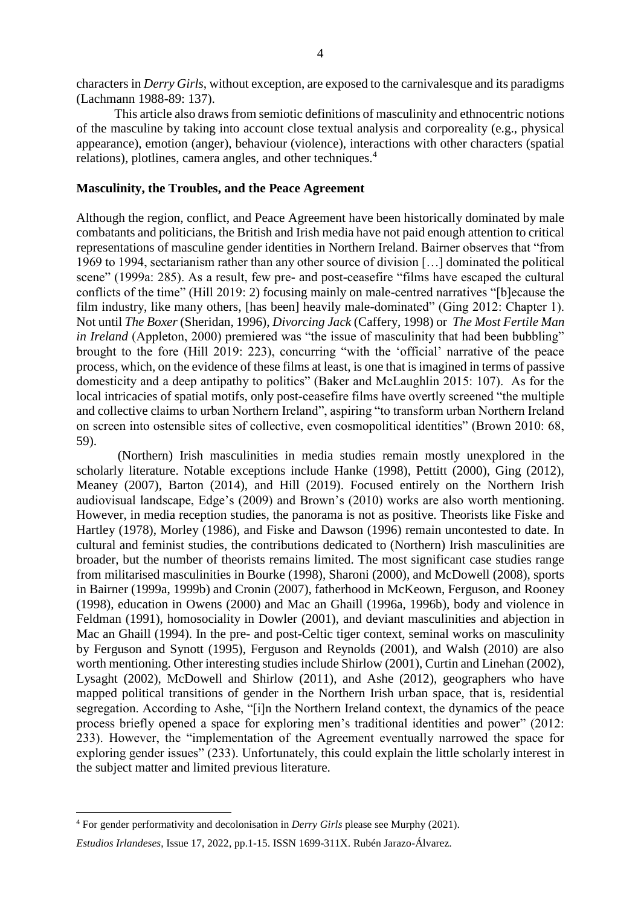characters in *Derry Girls*, without exception, are exposed to the carnivalesque and its paradigms (Lachmann 1988-89: 137).

This article also draws from semiotic definitions of masculinity and ethnocentric notions of the masculine by taking into account close textual analysis and corporeality (e.g., physical appearance), emotion (anger), behaviour (violence), interactions with other characters (spatial relations), plotlines, camera angles, and other techniques.<sup>4</sup>

## **Masculinity, the Troubles, and the Peace Agreement**

Although the region, conflict, and Peace Agreement have been historically dominated by male combatants and politicians, the British and Irish media have not paid enough attention to critical representations of masculine gender identities in Northern Ireland. Bairner observes that "from 1969 to 1994, sectarianism rather than any other source of division […] dominated the political scene" (1999a: 285). As a result, few pre- and post-ceasefire "films have escaped the cultural conflicts of the time" (Hill 2019: 2) focusing mainly on male-centred narratives "[b]ecause the film industry, like many others, [has been] heavily male-dominated" (Ging 2012: Chapter 1). Not until *The Boxer* (Sheridan, 1996), *Divorcing Jack* (Caffery, 1998) or *The Most Fertile Man in Ireland* (Appleton, 2000) premiered was "the issue of masculinity that had been bubbling" brought to the fore (Hill 2019: 223), concurring "with the 'official' narrative of the peace process, which, on the evidence of these films at least, is one that is imagined in terms of passive domesticity and a deep antipathy to politics" (Baker and McLaughlin 2015: 107). As for the local intricacies of spatial motifs, only post-ceasefire films have overtly screened "the multiple and collective claims to urban Northern Ireland", aspiring "to transform urban Northern Ireland on screen into ostensible sites of collective, even cosmopolitical identities" (Brown 2010: 68, 59).

(Northern) Irish masculinities in media studies remain mostly unexplored in the scholarly literature. Notable exceptions include Hanke (1998), Pettitt (2000), Ging (2012), Meaney (2007), Barton (2014), and Hill (2019). Focused entirely on the Northern Irish audiovisual landscape, Edge's (2009) and Brown's (2010) works are also worth mentioning. However, in media reception studies, the panorama is not as positive. Theorists like Fiske and Hartley (1978), Morley (1986), and Fiske and Dawson (1996) remain uncontested to date. In cultural and feminist studies, the contributions dedicated to (Northern) Irish masculinities are broader, but the number of theorists remains limited. The most significant case studies range from militarised masculinities in Bourke (1998), Sharoni (2000), and McDowell (2008), sports in Bairner (1999a, 1999b) and Cronin (2007), fatherhood in McKeown, Ferguson, and Rooney (1998), education in Owens (2000) and Mac an Ghaill (1996a, 1996b), body and violence in Feldman (1991), homosociality in Dowler (2001), and deviant masculinities and abjection in Mac an Ghaill (1994). In the pre- and post-Celtic tiger context, seminal works on masculinity by Ferguson and Synott (1995), Ferguson and Reynolds (2001), and Walsh (2010) are also worth mentioning. Other interesting studies include Shirlow (2001), Curtin and Linehan (2002), Lysaght (2002), McDowell and Shirlow (2011), and Ashe (2012), geographers who have mapped political transitions of gender in the Northern Irish urban space, that is, residential segregation. According to Ashe, "[i]n the Northern Ireland context, the dynamics of the peace process briefly opened a space for exploring men's traditional identities and power" (2012: 233). However, the "implementation of the Agreement eventually narrowed the space for exploring gender issues" (233). Unfortunately, this could explain the little scholarly interest in the subject matter and limited previous literature.

<sup>4</sup> For gender performativity and decolonisation in *Derry Girls* please see Murphy (2021).

*Estudios Irlandeses*, Issue 17, 2022, pp.1-15. ISSN 1699-311X. Rubén Jarazo-Álvarez.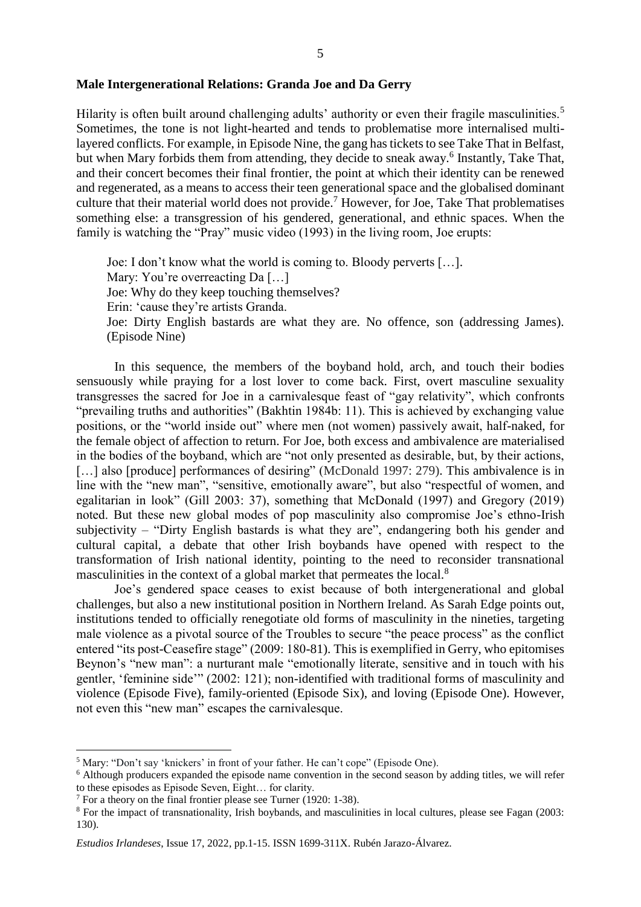### **Male Intergenerational Relations: Granda Joe and Da Gerry**

Hilarity is often built around challenging adults' authority or even their fragile masculinities.<sup>5</sup> Sometimes, the tone is not light-hearted and tends to problematise more internalised multilayered conflicts. For example, in Episode Nine, the gang has tickets to see Take That in Belfast, but when Mary forbids them from attending, they decide to sneak away.<sup>6</sup> Instantly, Take That, and their concert becomes their final frontier, the point at which their identity can be renewed and regenerated, as a means to access their teen generational space and the globalised dominant culture that their material world does not provide.<sup>7</sup> However, for Joe, Take That problematises something else: a transgression of his gendered, generational, and ethnic spaces. When the family is watching the "Pray" music video (1993) in the living room, Joe erupts:

Joe: I don't know what the world is coming to. Bloody perverts […]. Mary: You're overreacting Da [...] Joe: Why do they keep touching themselves? Erin: 'cause they're artists Granda. Joe: Dirty English bastards are what they are. No offence, son (addressing James). (Episode Nine)

In this sequence, the members of the boyband hold, arch, and touch their bodies sensuously while praying for a lost lover to come back. First, overt masculine sexuality transgresses the sacred for Joe in a carnivalesque feast of "gay relativity", which confronts "prevailing truths and authorities" (Bakhtin 1984b: 11). This is achieved by exchanging value positions, or the "world inside out" where men (not women) passively await, half-naked, for the female object of affection to return. For Joe, both excess and ambivalence are materialised in the bodies of the boyband, which are "not only presented as desirable, but, by their actions, [...] also [produce] performances of desiring" (McDonald 1997: 279). This ambivalence is in line with the "new man", "sensitive, emotionally aware", but also "respectful of women, and egalitarian in look" (Gill 2003: 37), something that McDonald (1997) and Gregory (2019) noted. But these new global modes of pop masculinity also compromise Joe's ethno-Irish subjectivity – "Dirty English bastards is what they are", endangering both his gender and cultural capital, a debate that other Irish boybands have opened with respect to the transformation of Irish national identity, pointing to the need to reconsider transnational masculinities in the context of a global market that permeates the local.<sup>8</sup>

Joe's gendered space ceases to exist because of both intergenerational and global challenges, but also a new institutional position in Northern Ireland. As Sarah Edge points out, institutions tended to officially renegotiate old forms of masculinity in the nineties, targeting male violence as a pivotal source of the Troubles to secure "the peace process" as the conflict entered "its post-Ceasefire stage" (2009: 180-81). This is exemplified in Gerry, who epitomises Beynon's "new man": a nurturant male "emotionally literate, sensitive and in touch with his gentler, 'feminine side'" (2002: 121); non-identified with traditional forms of masculinity and violence (Episode Five), family-oriented (Episode Six), and loving (Episode One). However, not even this "new man" escapes the carnivalesque.

<sup>5</sup> Mary: "Don't say 'knickers' in front of your father. He can't cope" (Episode One).

<sup>&</sup>lt;sup>6</sup> Although producers expanded the episode name convention in the second season by adding titles, we will refer to these episodes as Episode Seven, Eight… for clarity.

<sup>7</sup> For a theory on the final frontier please see Turner (1920: 1-38).

<sup>&</sup>lt;sup>8</sup> For the impact of transnationality, Irish boybands, and masculinities in local cultures, please see Fagan (2003: 130).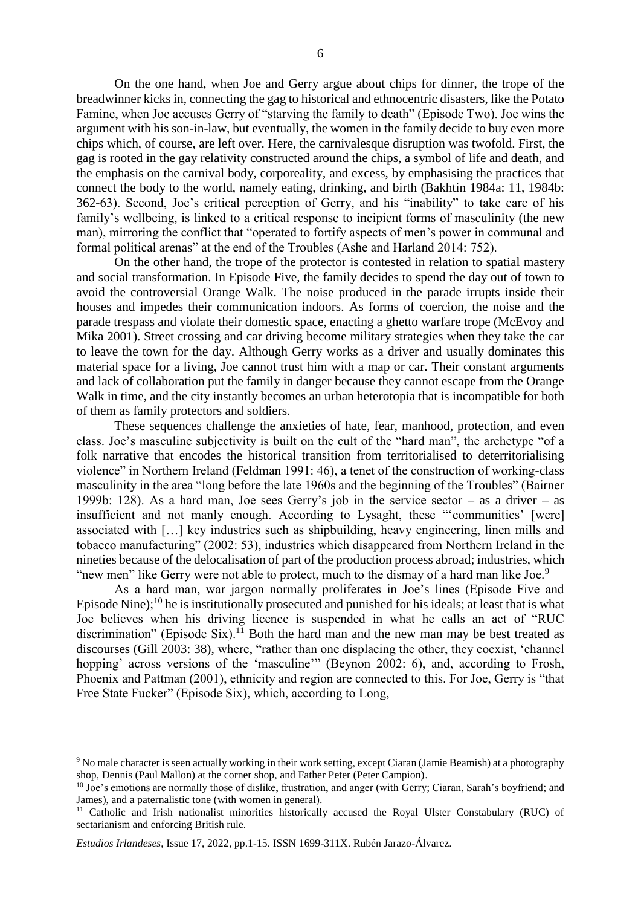On the one hand, when Joe and Gerry argue about chips for dinner, the trope of the breadwinner kicks in, connecting the gag to historical and ethnocentric disasters, like the Potato Famine, when Joe accuses Gerry of "starving the family to death" (Episode Two). Joe wins the argument with his son-in-law, but eventually, the women in the family decide to buy even more chips which, of course, are left over. Here, the carnivalesque disruption was twofold. First, the gag is rooted in the gay relativity constructed around the chips, a symbol of life and death, and the emphasis on the carnival body, corporeality, and excess, by emphasising the practices that connect the body to the world, namely eating, drinking, and birth (Bakhtin 1984a: 11, 1984b: 362-63). Second, Joe's critical perception of Gerry, and his "inability" to take care of his family's wellbeing, is linked to a critical response to incipient forms of masculinity (the new man), mirroring the conflict that "operated to fortify aspects of men's power in communal and formal political arenas" at the end of the Troubles (Ashe and Harland 2014: 752).

On the other hand, the trope of the protector is contested in relation to spatial mastery and social transformation. In Episode Five, the family decides to spend the day out of town to avoid the controversial Orange Walk. The noise produced in the parade irrupts inside their houses and impedes their communication indoors. As forms of coercion, the noise and the parade trespass and violate their domestic space, enacting a ghetto warfare trope (McEvoy and Mika 2001). Street crossing and car driving become military strategies when they take the car to leave the town for the day. Although Gerry works as a driver and usually dominates this material space for a living, Joe cannot trust him with a map or car. Their constant arguments and lack of collaboration put the family in danger because they cannot escape from the Orange Walk in time, and the city instantly becomes an urban heterotopia that is incompatible for both of them as family protectors and soldiers.

These sequences challenge the anxieties of hate, fear, manhood, protection, and even class. Joe's masculine subjectivity is built on the cult of the "hard man", the archetype "of a folk narrative that encodes the historical transition from territorialised to deterritorialising violence" in Northern Ireland (Feldman 1991: 46), a tenet of the construction of working-class masculinity in the area "long before the late 1960s and the beginning of the Troubles" (Bairner 1999b: 128). As a hard man, Joe sees Gerry's job in the service sector – as a driver – as insufficient and not manly enough. According to Lysaght, these "'communities' [were] associated with […] key industries such as shipbuilding, heavy engineering, linen mills and tobacco manufacturing" (2002: 53), industries which disappeared from Northern Ireland in the nineties because of the delocalisation of part of the production process abroad; industries, which "new men" like Gerry were not able to protect, much to the dismay of a hard man like Joe.<sup>9</sup>

As a hard man, war jargon normally proliferates in Joe's lines (Episode Five and Episode Nine);<sup>10</sup> he is institutionally prosecuted and punished for his ideals; at least that is what Joe believes when his driving licence is suspended in what he calls an act of "RUC discrimination" (Episode Six).<sup>11</sup> Both the hard man and the new man may be best treated as discourses (Gill 2003: 38), where, "rather than one displacing the other, they coexist, 'channel hopping' across versions of the 'masculine'" (Beynon 2002: 6), and, according to Frosh, Phoenix and Pattman (2001), ethnicity and region are connected to this. For Joe, Gerry is "that Free State Fucker" (Episode Six), which, according to Long,

<sup>9</sup> No male character is seen actually working in their work setting, except Ciaran (Jamie Beamish) at a photography shop, Dennis (Paul Mallon) at the corner shop, and Father Peter (Peter Campion).

<sup>&</sup>lt;sup>10</sup> Joe's emotions are normally those of dislike, frustration, and anger (with Gerry; Ciaran, Sarah's boyfriend; and James), and a paternalistic tone (with women in general).

<sup>&</sup>lt;sup>11</sup> Catholic and Irish nationalist minorities historically accused the Royal Ulster Constabulary (RUC) of sectarianism and enforcing British rule.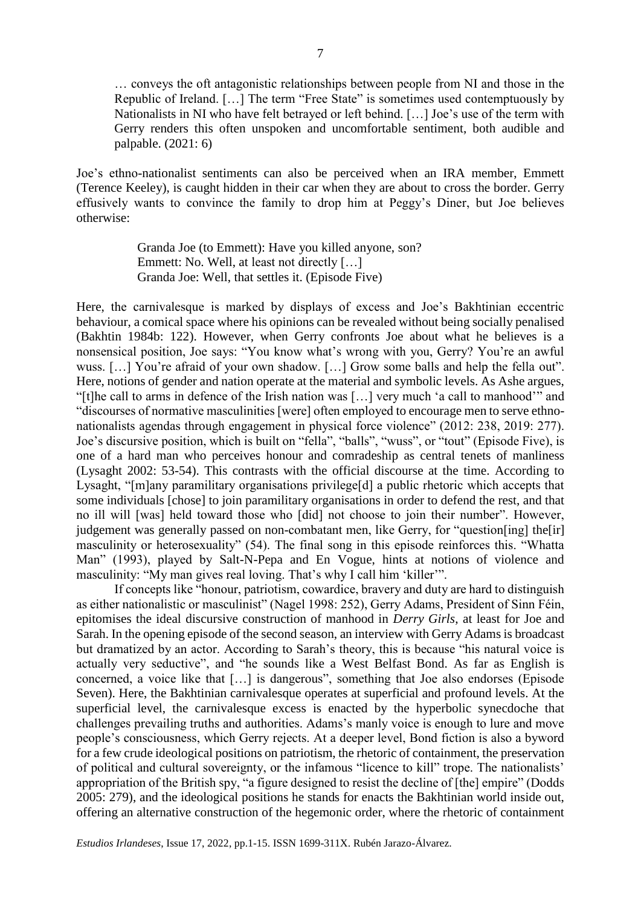… conveys the oft antagonistic relationships between people from NI and those in the Republic of Ireland. […] The term "Free State" is sometimes used contemptuously by Nationalists in NI who have felt betrayed or left behind. […] Joe's use of the term with Gerry renders this often unspoken and uncomfortable sentiment, both audible and palpable. (2021: 6)

Joe's ethno-nationalist sentiments can also be perceived when an IRA member, Emmett (Terence Keeley), is caught hidden in their car when they are about to cross the border. Gerry effusively wants to convince the family to drop him at Peggy's Diner, but Joe believes otherwise:

> Granda Joe (to Emmett): Have you killed anyone, son? Emmett: No. Well, at least not directly [...] Granda Joe: Well, that settles it. (Episode Five)

Here, the carnivalesque is marked by displays of excess and Joe's Bakhtinian eccentric behaviour, a comical space where his opinions can be revealed without being socially penalised (Bakhtin 1984b: 122). However, when Gerry confronts Joe about what he believes is a nonsensical position, Joe says: "You know what's wrong with you, Gerry? You're an awful wuss. [...] You're afraid of your own shadow. [...] Grow some balls and help the fella out". Here, notions of gender and nation operate at the material and symbolic levels. As Ashe argues, "[t]he call to arms in defence of the Irish nation was […] very much 'a call to manhood'" and "discourses of normative masculinities [were] often employed to encourage men to serve ethnonationalists agendas through engagement in physical force violence" (2012: 238, 2019: 277). Joe's discursive position, which is built on "fella", "balls", "wuss", or "tout" (Episode Five), is one of a hard man who perceives honour and comradeship as central tenets of manliness (Lysaght 2002: 53-54). This contrasts with the official discourse at the time. According to Lysaght, "[m]any paramilitary organisations privilege[d] a public rhetoric which accepts that some individuals [chose] to join paramilitary organisations in order to defend the rest, and that no ill will [was] held toward those who [did] not choose to join their number". However, judgement was generally passed on non-combatant men, like Gerry, for "question[ing] the[ir] masculinity or heterosexuality" (54). The final song in this episode reinforces this. "Whatta Man" (1993), played by Salt-N-Pepa and En Vogue, hints at notions of violence and masculinity: "My man gives real loving. That's why I call him 'killer'".

If concepts like "honour, patriotism, cowardice, bravery and duty are hard to distinguish as either nationalistic or masculinist" (Nagel 1998: 252), Gerry Adams, President of Sinn Féin, epitomises the ideal discursive construction of manhood in *Derry Girls*, at least for Joe and Sarah. In the opening episode of the second season, an interview with Gerry Adams is broadcast but dramatized by an actor. According to Sarah's theory, this is because "his natural voice is actually very seductive", and "he sounds like a West Belfast Bond. As far as English is concerned, a voice like that […] is dangerous", something that Joe also endorses (Episode Seven). Here, the Bakhtinian carnivalesque operates at superficial and profound levels. At the superficial level, the carnivalesque excess is enacted by the hyperbolic synecdoche that challenges prevailing truths and authorities. Adams's manly voice is enough to lure and move people's consciousness, which Gerry rejects. At a deeper level, Bond fiction is also a byword for a few crude ideological positions on patriotism, the rhetoric of containment, the preservation of political and cultural sovereignty, or the infamous "licence to kill" trope. The nationalists' appropriation of the British spy, "a figure designed to resist the decline of [the] empire" (Dodds 2005: 279), and the ideological positions he stands for enacts the Bakhtinian world inside out, offering an alternative construction of the hegemonic order, where the rhetoric of containment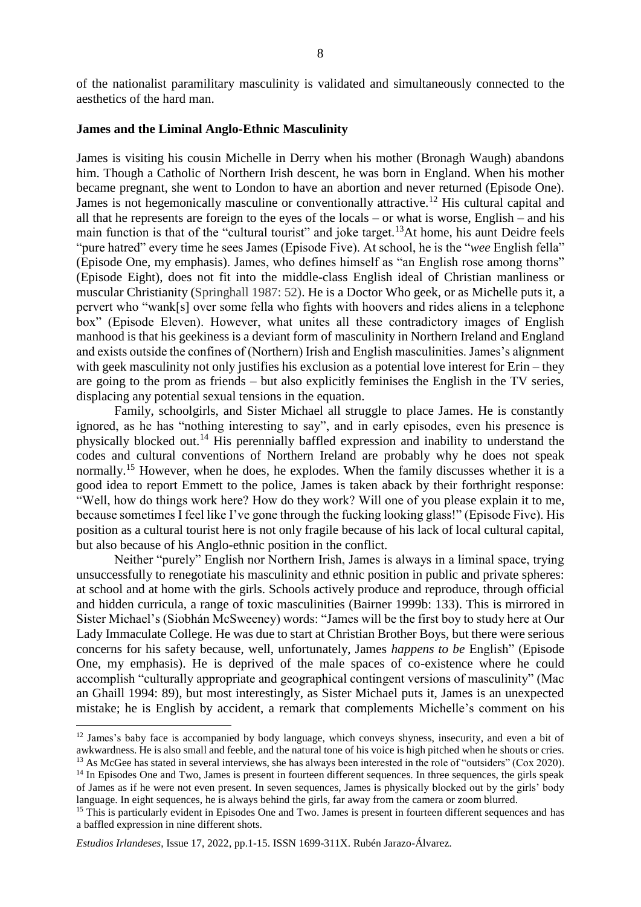of the nationalist paramilitary masculinity is validated and simultaneously connected to the aesthetics of the hard man.

#### **James and the Liminal Anglo-Ethnic Masculinity**

James is visiting his cousin Michelle in Derry when his mother (Bronagh Waugh) abandons him. Though a Catholic of Northern Irish descent, he was born in England. When his mother became pregnant, she went to London to have an abortion and never returned (Episode One). James is not hegemonically masculine or conventionally attractive.<sup>12</sup> His cultural capital and all that he represents are foreign to the eyes of the locals – or what is worse, English – and his main function is that of the "cultural tourist" and joke target.<sup>13</sup>At home, his aunt Deidre feels "pure hatred" every time he sees James (Episode Five). At school, he is the "*wee* English fella" (Episode One, my emphasis). James, who defines himself as "an English rose among thorns" (Episode Eight), does not fit into the middle-class English ideal of Christian manliness or muscular Christianity (Springhall 1987: 52). He is a Doctor Who geek, or as Michelle puts it, a pervert who "wank[s] over some fella who fights with hoovers and rides aliens in a telephone box" (Episode Eleven). However, what unites all these contradictory images of English manhood is that his geekiness is a deviant form of masculinity in Northern Ireland and England and exists outside the confines of (Northern) Irish and English masculinities. James's alignment with geek masculinity not only justifies his exclusion as a potential love interest for Erin – they are going to the prom as friends – but also explicitly feminises the English in the TV series, displacing any potential sexual tensions in the equation.

Family, schoolgirls, and Sister Michael all struggle to place James. He is constantly ignored, as he has "nothing interesting to say", and in early episodes, even his presence is physically blocked out.<sup>14</sup> His perennially baffled expression and inability to understand the codes and cultural conventions of Northern Ireland are probably why he does not speak normally.<sup>15</sup> However, when he does, he explodes. When the family discusses whether it is a good idea to report Emmett to the police, James is taken aback by their forthright response: "Well, how do things work here? How do they work? Will one of you please explain it to me, because sometimes I feel like I've gone through the fucking looking glass!" (Episode Five). His position as a cultural tourist here is not only fragile because of his lack of local cultural capital, but also because of his Anglo-ethnic position in the conflict.

Neither "purely" English nor Northern Irish, James is always in a liminal space, trying unsuccessfully to renegotiate his masculinity and ethnic position in public and private spheres: at school and at home with the girls. Schools actively produce and reproduce, through official and hidden curricula, a range of toxic masculinities (Bairner 1999b: 133). This is mirrored in Sister Michael's (Siobhán McSweeney) words: "James will be the first boy to study here at Our Lady Immaculate College. He was due to start at Christian Brother Boys, but there were serious concerns for his safety because, well, unfortunately, James *happens to be* English" (Episode One, my emphasis). He is deprived of the male spaces of co-existence where he could accomplish "culturally appropriate and geographical contingent versions of masculinity" (Mac an Ghaill 1994: 89), but most interestingly, as Sister Michael puts it, James is an unexpected mistake; he is English by accident, a remark that complements Michelle's comment on his

<sup>&</sup>lt;sup>12</sup> James's baby face is accompanied by body language, which conveys shyness, insecurity, and even a bit of awkwardness. He is also small and feeble, and the natural tone of his voice is high pitched when he shouts or cries.

<sup>&</sup>lt;sup>13</sup> As McGee has stated in several interviews, she has always been interested in the role of "outsiders" (Cox 2020).

<sup>&</sup>lt;sup>14</sup> In Episodes One and Two, James is present in fourteen different sequences. In three sequences, the girls speak of James as if he were not even present. In seven sequences, James is physically blocked out by the girls' body language. In eight sequences, he is always behind the girls, far away from the camera or zoom blurred.

<sup>&</sup>lt;sup>15</sup> This is particularly evident in Episodes One and Two. James is present in fourteen different sequences and has a baffled expression in nine different shots.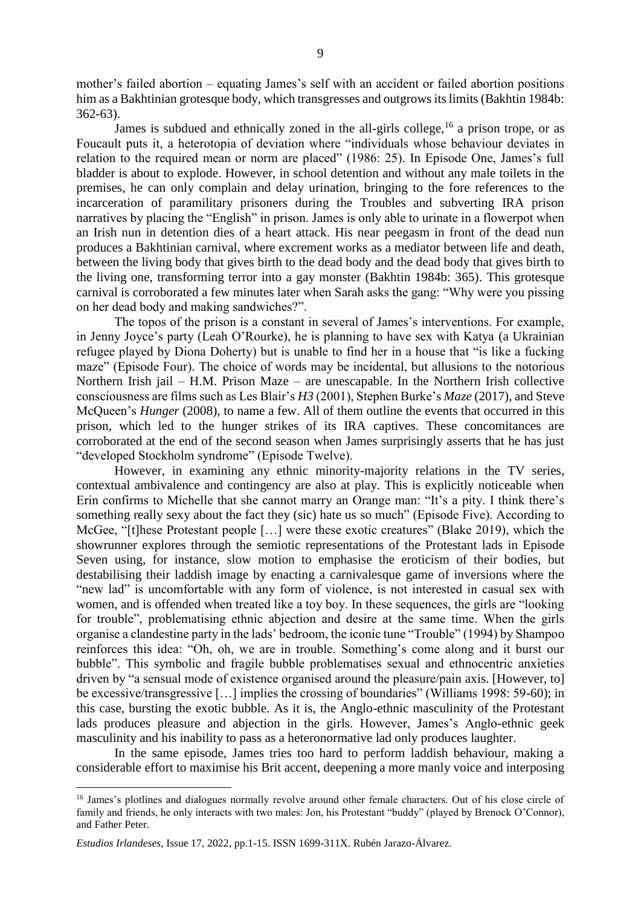mother's failed abortion – equating James's self with an accident or failed abortion positions him as a Bakhtinian grotesque body, which transgresses and outgrows its limits (Bakhtin 1984b: 362-63).

James is subdued and ethnically zoned in the all-girls college,  $16$  a prison trope, or as Foucault puts it, a heterotopia of deviation where "individuals whose behaviour deviates in relation to the required mean or norm are placed" (1986: 25). In Episode One, James's full bladder is about to explode. However, in school detention and without any male toilets in the premises, he can only complain and delay urination, bringing to the fore references to the incarceration of paramilitary prisoners during the Troubles and subverting IRA prison narratives by placing the "English" in prison. James is only able to urinate in a flowerpot when an Irish nun in detention dies of a heart attack. His near peegasm in front of the dead nun produces a Bakhtinian carnival, where excrement works as a mediator between life and death, between the living body that gives birth to the dead body and the dead body that gives birth to the living one, transforming terror into a gay monster (Bakhtin 1984b: 365). This grotesque carnival is corroborated a few minutes later when Sarah asks the gang: "Why were you pissing on her dead body and making sandwiches?".

The topos of the prison is a constant in several of James's interventions. For example, in Jenny Joyce's party (Leah O'Rourke), he is planning to have sex with Katya (a Ukrainian refugee played by Diona Doherty) but is unable to find her in a house that "is like a fucking maze" (Episode Four). The choice of words may be incidental, but allusions to the notorious Northern Irish jail – H.M. Prison Maze – are unescapable. In the Northern Irish collective consciousness are films such as Les Blair's *H3* (2001), Stephen Burke's *Maze* (2017), and Steve McQueen's *Hunger* (2008), to name a few. All of them outline the events that occurred in this prison, which led to the hunger strikes of its IRA captives. These concomitances are corroborated at the end of the second season when James surprisingly asserts that he has just "developed Stockholm syndrome" (Episode Twelve).

However, in examining any ethnic minority-majority relations in the TV series, contextual ambivalence and contingency are also at play. This is explicitly noticeable when Erin confirms to Michelle that she cannot marry an Orange man: "It's a pity. I think there's something really sexy about the fact they (sic) hate us so much" (Episode Five). According to McGee, "[t]hese Protestant people […] were these exotic creatures" (Blake 2019), which the showrunner explores through the semiotic representations of the Protestant lads in Episode Seven using, for instance, slow motion to emphasise the eroticism of their bodies, but destabilising their laddish image by enacting a carnivalesque game of inversions where the "new lad" is uncomfortable with any form of violence, is not interested in casual sex with women, and is offended when treated like a toy boy. In these sequences, the girls are "looking for trouble", problematising ethnic abjection and desire at the same time. When the girls organise a clandestine party in the lads' bedroom, the iconic tune "Trouble" (1994) by Shampoo reinforces this idea: "Oh, oh, we are in trouble. Something's come along and it burst our bubble". This symbolic and fragile bubble problematises sexual and ethnocentric anxieties driven by "a sensual mode of existence organised around the pleasure/pain axis. [However, to] be excessive/transgressive […] implies the crossing of boundaries" (Williams 1998: 59-60); in this case, bursting the exotic bubble. As it is, the Anglo-ethnic masculinity of the Protestant lads produces pleasure and abjection in the girls. However, James's Anglo-ethnic geek masculinity and his inability to pass as a heteronormative lad only produces laughter.

In the same episode, James tries too hard to perform laddish behaviour, making a considerable effort to maximise his Brit accent, deepening a more manly voice and interposing

<sup>&</sup>lt;sup>16</sup> James's plotlines and dialogues normally revolve around other female characters. Out of his close circle of family and friends, he only interacts with two males: Jon, his Protestant "buddy" (played by Brenock O'Connor), and Father Peter.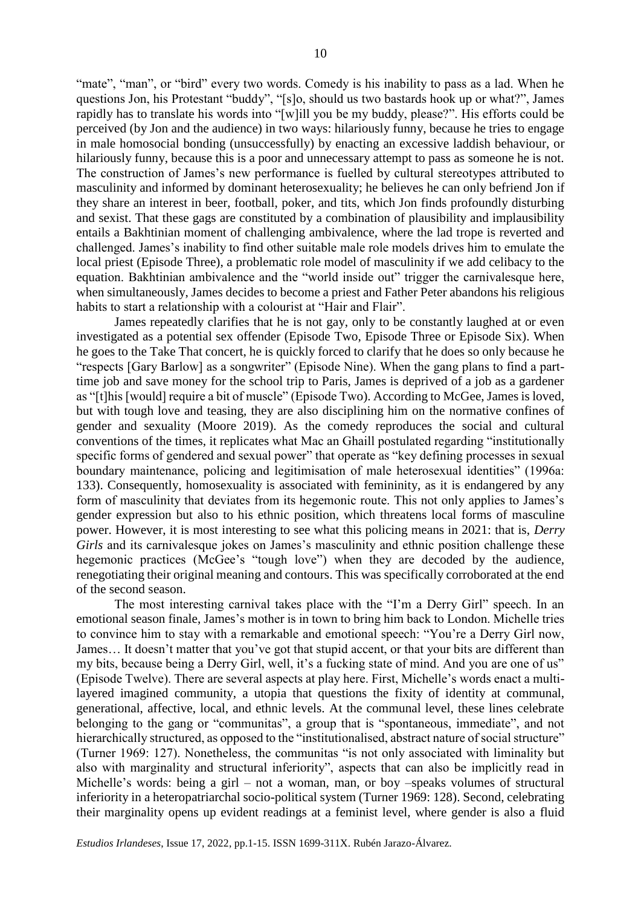"mate", "man", or "bird" every two words. Comedy is his inability to pass as a lad. When he questions Jon, his Protestant "buddy", "[s]o, should us two bastards hook up or what?", James rapidly has to translate his words into "[w]ill you be my buddy, please?". His efforts could be perceived (by Jon and the audience) in two ways: hilariously funny, because he tries to engage in male homosocial bonding (unsuccessfully) by enacting an excessive laddish behaviour, or hilariously funny, because this is a poor and unnecessary attempt to pass as someone he is not. The construction of James's new performance is fuelled by cultural stereotypes attributed to masculinity and informed by dominant heterosexuality; he believes he can only befriend Jon if they share an interest in beer, football, poker, and tits, which Jon finds profoundly disturbing and sexist. That these gags are constituted by a combination of plausibility and implausibility entails a Bakhtinian moment of challenging ambivalence, where the lad trope is reverted and challenged. James's inability to find other suitable male role models drives him to emulate the local priest (Episode Three), a problematic role model of masculinity if we add celibacy to the equation. Bakhtinian ambivalence and the "world inside out" trigger the carnivalesque here, when simultaneously, James decides to become a priest and Father Peter abandons his religious habits to start a relationship with a colourist at "Hair and Flair".

James repeatedly clarifies that he is not gay, only to be constantly laughed at or even investigated as a potential sex offender (Episode Two, Episode Three or Episode Six). When he goes to the Take That concert, he is quickly forced to clarify that he does so only because he "respects [Gary Barlow] as a songwriter" (Episode Nine). When the gang plans to find a parttime job and save money for the school trip to Paris, James is deprived of a job as a gardener as "[t]his [would] require a bit of muscle" (Episode Two). According to McGee, James is loved, but with tough love and teasing, they are also disciplining him on the normative confines of gender and sexuality (Moore 2019). As the comedy reproduces the social and cultural conventions of the times, it replicates what Mac an Ghaill postulated regarding "institutionally specific forms of gendered and sexual power" that operate as "key defining processes in sexual boundary maintenance, policing and legitimisation of male heterosexual identities" (1996a: 133). Consequently, homosexuality is associated with femininity, as it is endangered by any form of masculinity that deviates from its hegemonic route. This not only applies to James's gender expression but also to his ethnic position, which threatens local forms of masculine power. However, it is most interesting to see what this policing means in 2021: that is, *Derry Girls* and its carnivalesque jokes on James's masculinity and ethnic position challenge these hegemonic practices (McGee's "tough love") when they are decoded by the audience, renegotiating their original meaning and contours. This was specifically corroborated at the end of the second season.

The most interesting carnival takes place with the "I'm a Derry Girl" speech. In an emotional season finale, James's mother is in town to bring him back to London. Michelle tries to convince him to stay with a remarkable and emotional speech: "You're a Derry Girl now, James… It doesn't matter that you've got that stupid accent, or that your bits are different than my bits, because being a Derry Girl, well, it's a fucking state of mind. And you are one of us" (Episode Twelve). There are several aspects at play here. First, Michelle's words enact a multilayered imagined community, a utopia that questions the fixity of identity at communal, generational, affective, local, and ethnic levels. At the communal level, these lines celebrate belonging to the gang or "communitas", a group that is "spontaneous, immediate", and not hierarchically structured, as opposed to the "institutionalised, abstract nature of social structure" (Turner 1969: 127). Nonetheless, the communitas "is not only associated with liminality but also with marginality and structural inferiority", aspects that can also be implicitly read in Michelle's words: being a girl – not a woman, man, or boy –speaks volumes of structural inferiority in a heteropatriarchal socio-political system (Turner 1969: 128). Second, celebrating their marginality opens up evident readings at a feminist level, where gender is also a fluid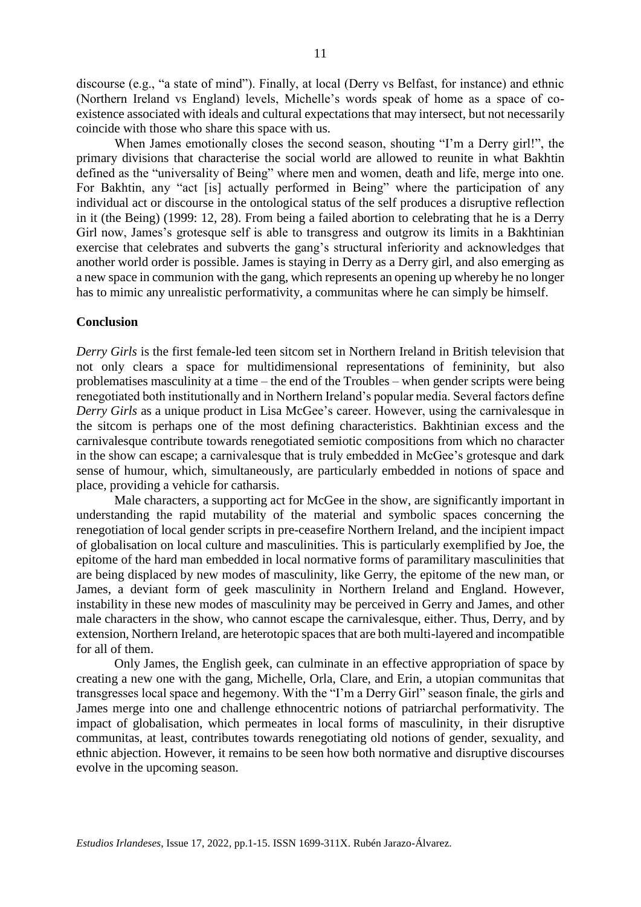discourse (e.g., "a state of mind"). Finally, at local (Derry vs Belfast, for instance) and ethnic (Northern Ireland vs England) levels, Michelle's words speak of home as a space of coexistence associated with ideals and cultural expectations that may intersect, but not necessarily coincide with those who share this space with us.

When James emotionally closes the second season, shouting "I'm a Derry girl!", the primary divisions that characterise the social world are allowed to reunite in what Bakhtin defined as the "universality of Being" where men and women, death and life, merge into one. For Bakhtin, any "act [is] actually performed in Being" where the participation of any individual act or discourse in the ontological status of the self produces a disruptive reflection in it (the Being) (1999: 12, 28). From being a failed abortion to celebrating that he is a Derry Girl now, James's grotesque self is able to transgress and outgrow its limits in a Bakhtinian exercise that celebrates and subverts the gang's structural inferiority and acknowledges that another world order is possible. James is staying in Derry as a Derry girl, and also emerging as a new space in communion with the gang, which represents an opening up whereby he no longer has to mimic any unrealistic performativity, a communitas where he can simply be himself.

#### **Conclusion**

*Derry Girls* is the first female-led teen sitcom set in Northern Ireland in British television that not only clears a space for multidimensional representations of femininity, but also problematises masculinity at a time – the end of the Troubles – when gender scripts were being renegotiated both institutionally and in Northern Ireland's popular media. Several factors define *Derry Girls* as a unique product in Lisa McGee's career. However, using the carnivalesque in the sitcom is perhaps one of the most defining characteristics. Bakhtinian excess and the carnivalesque contribute towards renegotiated semiotic compositions from which no character in the show can escape; a carnivalesque that is truly embedded in McGee's grotesque and dark sense of humour, which, simultaneously, are particularly embedded in notions of space and place, providing a vehicle for catharsis.

Male characters, a supporting act for McGee in the show, are significantly important in understanding the rapid mutability of the material and symbolic spaces concerning the renegotiation of local gender scripts in pre-ceasefire Northern Ireland, and the incipient impact of globalisation on local culture and masculinities. This is particularly exemplified by Joe, the epitome of the hard man embedded in local normative forms of paramilitary masculinities that are being displaced by new modes of masculinity, like Gerry, the epitome of the new man, or James, a deviant form of geek masculinity in Northern Ireland and England. However, instability in these new modes of masculinity may be perceived in Gerry and James, and other male characters in the show, who cannot escape the carnivalesque, either. Thus, Derry, and by extension, Northern Ireland, are heterotopic spaces that are both multi-layered and incompatible for all of them.

Only James, the English geek, can culminate in an effective appropriation of space by creating a new one with the gang, Michelle, Orla, Clare, and Erin, a utopian communitas that transgresses local space and hegemony. With the "I'm a Derry Girl" season finale, the girls and James merge into one and challenge ethnocentric notions of patriarchal performativity. The impact of globalisation, which permeates in local forms of masculinity, in their disruptive communitas, at least, contributes towards renegotiating old notions of gender, sexuality, and ethnic abjection. However, it remains to be seen how both normative and disruptive discourses evolve in the upcoming season.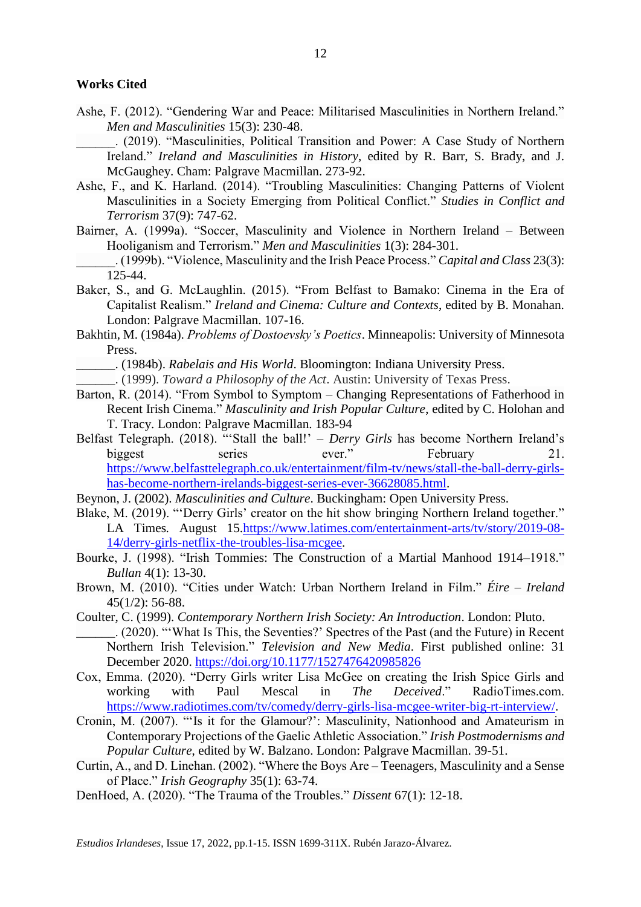#### **Works Cited**

- Ashe, F. (2012). "Gendering War and Peace: Militarised Masculinities in Northern Ireland." *Men and Masculinities* 15(3): 230-48.
- \_\_\_\_\_\_. (2019). "Masculinities, Political Transition and Power: A Case Study of Northern Ireland." *Ireland and Masculinities in History*, edited by R. Barr, S. Brady, and J. McGaughey. Cham: Palgrave Macmillan. 273-92.
- Ashe, F., and K. Harland. (2014). "Troubling Masculinities: Changing Patterns of Violent Masculinities in a Society Emerging from Political Conflict." *Studies in Conflict and Terrorism* 37(9): 747-62.
- Bairner, A. (1999a). "Soccer, Masculinity and Violence in Northern Ireland Between Hooliganism and Terrorism." *Men and Masculinities* 1(3): 284-301.
- \_\_\_\_\_\_. (1999b). "Violence, Masculinity and the Irish Peace Process." *Capital and Class* 23(3): 125-44.
- Baker, S., and G. McLaughlin. (2015). "From Belfast to Bamako: Cinema in the Era of Capitalist Realism." *Ireland and Cinema: Culture and Contexts*, edited by B. Monahan. London: Palgrave Macmillan. 107-16.
- Bakhtin, M. (1984a). *Problems of Dostoevsky's Poetics*. Minneapolis: University of Minnesota Press.
	- \_\_\_\_\_\_. (1984b). *Rabelais and His World*. Bloomington: Indiana University Press.
- \_\_\_\_\_\_. (1999). *Toward a Philosophy of the Act*. Austin: University of Texas Press.
- Barton, R. (2014). "From Symbol to Symptom Changing Representations of Fatherhood in Recent Irish Cinema." *Masculinity and Irish Popular Culture*, edited by C. Holohan and T. Tracy. London: Palgrave Macmillan. 183-94
- Belfast Telegraph. (2018). "'Stall the ball!' *Derry Girls* has become Northern Ireland's biggest series ever." February 21. [https://www.belfasttelegraph.co.uk/entertainment/film-tv/news/stall-the-ball-derry-girls](https://www.belfasttelegraph.co.uk/entertainment/film-tv/news/stall-the-ball-derry-girls-has-become-northern-irelands-biggest-series-ever-36628085.html)[has-become-northern-irelands-biggest-series-ever-36628085.html.](https://www.belfasttelegraph.co.uk/entertainment/film-tv/news/stall-the-ball-derry-girls-has-become-northern-irelands-biggest-series-ever-36628085.html)
- Beynon, J. (2002). *Masculinities and Culture*. Buckingham: Open University Press.
- Blake, M. (2019). "'Derry Girls' creator on the hit show bringing Northern Ireland together." LA Times*.* August 15[.https://www.latimes.com/entertainment-arts/tv/story/2019-08-](https://www.latimes.com/entertainment-arts/tv/story/2019-08-14/derry-girls-netflix-the-troubles-lisa-mcgee) [14/derry-girls-netflix-the-troubles-lisa-mcgee.](https://www.latimes.com/entertainment-arts/tv/story/2019-08-14/derry-girls-netflix-the-troubles-lisa-mcgee)
- Bourke, J. (1998). "Irish Tommies: The Construction of a Martial Manhood 1914–1918." *Bullan* 4(1): 13-30.
- Brown, M. (2010). "Cities under Watch: Urban Northern Ireland in Film." *Éire – Ireland* 45(1/2): 56-88.
- Coulter, C. (1999). *Contemporary Northern Irish Society: An Introduction*. London: Pluto.
- \_\_\_\_\_\_. (2020). "'What Is This, the Seventies?' Spectres of the Past (and the Future) in Recent Northern Irish Television." *Television and New Media*. First published online: 31 December 2020.<https://doi.org/10.1177/1527476420985826>
- Cox, Emma. (2020). "Derry Girls writer Lisa McGee on creating the Irish Spice Girls and working with Paul Mescal in *The Deceived*." RadioTimes.com. [https://www.radiotimes.com/tv/comedy/derry-girls-lisa-mcgee-writer-big-rt-interview/.](https://www.radiotimes.com/tv/comedy/derry-girls-lisa-mcgee-writer-big-rt-interview/)
- Cronin, M. (2007). "'Is it for the Glamour?': Masculinity, Nationhood and Amateurism in Contemporary Projections of the Gaelic Athletic Association." *Irish Postmodernisms and Popular Culture*, edited by W. Balzano. London: Palgrave Macmillan. 39-51.
- Curtin, A., and D. Linehan. (2002). "Where the Boys Are Teenagers, Masculinity and a Sense of Place." *Irish Geography* 35(1): 63-74.
- DenHoed, A. (2020). "The Trauma of the Troubles." *Dissent* 67(1): 12-18.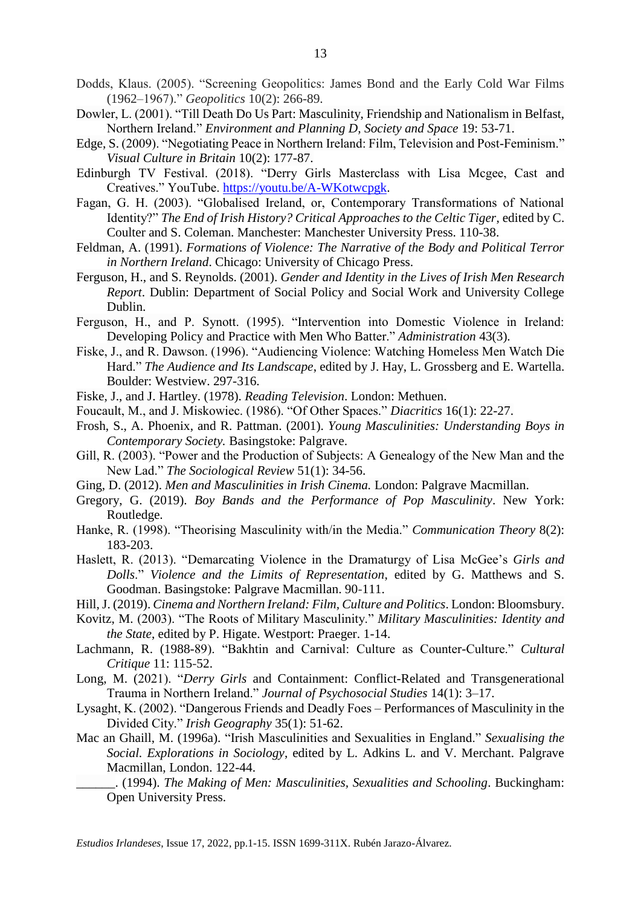- Dowler, L. (2001). "Till Death Do Us Part: Masculinity, Friendship and Nationalism in Belfast, Northern Ireland." *Environment and Planning D, Society and Space* 19: 53-71.
- Edge, S. (2009). "Negotiating Peace in Northern Ireland: Film, Television and Post-Feminism." *Visual Culture in Britain* 10(2): 177-87.
- Edinburgh TV Festival. (2018). "Derry Girls Masterclass with Lisa Mcgee, Cast and Creatives." YouTube. [https://youtu.be/A-WKotwcpgk.](https://youtu.be/A-WKotwcpgk)
- Fagan, G. H. (2003). "Globalised Ireland, or, Contemporary Transformations of National Identity?" *The End of Irish History? Critical Approaches to the Celtic Tiger*, edited by C. Coulter and S. Coleman. Manchester: Manchester University Press. 110-38.
- Feldman, A. (1991). *Formations of Violence: The Narrative of the Body and Political Terror in Northern Ireland*. Chicago: University of Chicago Press.
- Ferguson, H., and S. Reynolds. (2001). *Gender and Identity in the Lives of Irish Men Research Report*. Dublin: Department of Social Policy and Social Work and University College Dublin.
- Ferguson, H., and P. Synott. (1995). "Intervention into Domestic Violence in Ireland: Developing Policy and Practice with Men Who Batter." *Administration* 43(3).
- Fiske, J., and R. Dawson. (1996). "Audiencing Violence: Watching Homeless Men Watch Die Hard." *The Audience and Its Landscape*, edited by J. Hay, L. Grossberg and E. Wartella. Boulder: Westview. 297-316.
- Fiske, J., and J. Hartley. (1978). *Reading Television*. London: Methuen.
- Foucault, M., and J. Miskowiec. (1986). "Of Other Spaces." *Diacritics* 16(1): 22-27.
- Frosh, S., A. Phoenix, and R. Pattman. (2001). *Young Masculinities: Understanding Boys in Contemporary Society.* Basingstoke: Palgrave.
- Gill, R. (2003). "Power and the Production of Subjects: A Genealogy of the New Man and the New Lad." *The Sociological Review* 51(1): 34-56.
- Ging, D. (2012). *Men and Masculinities in Irish Cinema.* London: Palgrave Macmillan.
- Gregory, G. (2019). *Boy Bands and the Performance of Pop Masculinity*. New York: Routledge.
- Hanke, R. (1998). "Theorising Masculinity with/in the Media." *Communication Theory* 8(2): 183-203.
- Haslett, R. (2013). "Demarcating Violence in the Dramaturgy of Lisa McGee's *Girls and Dolls*." *Violence and the Limits of Representation*, edited by G. Matthews and S. Goodman. Basingstoke: Palgrave Macmillan. 90-111.
- Hill, J. (2019). *Cinema and Northern Ireland: Film, Culture and Politics*. London: Bloomsbury.
- Kovitz, M. (2003). "The Roots of Military Masculinity." *Military Masculinities: Identity and the State*, edited by P. Higate. Westport: Praeger. 1-14.
- Lachmann, R. (1988-89). "Bakhtin and Carnival: Culture as Counter-Culture." *Cultural Critique* 11: 115-52.
- Long, M. (2021). "*Derry Girls* and Containment: Conflict-Related and Transgenerational Trauma in Northern Ireland." *Journal of Psychosocial Studies* 14(1): 3–17.
- Lysaght, K. (2002). "Dangerous Friends and Deadly Foes Performances of Masculinity in the Divided City." *Irish Geography* 35(1): 51-62.
- Mac an Ghaill, M. (1996a). "Irish Masculinities and Sexualities in England." *Sexualising the Social. Explorations in Sociology*, edited by L. Adkins L. and V. Merchant. Palgrave Macmillan, London. 122-44.
	- \_\_\_\_\_\_. (1994). *The Making of Men: Masculinities, Sexualities and Schooling*. Buckingham: Open University Press.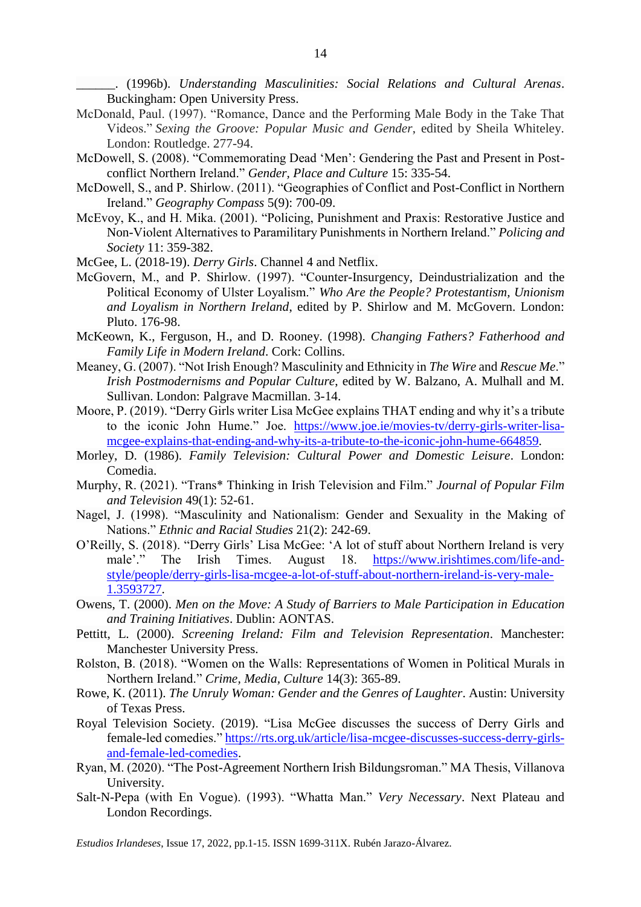\_\_\_\_\_\_. (1996b). *Understanding Masculinities: Social Relations and Cultural Arenas*. Buckingham: Open University Press.

- McDonald, Paul. (1997). "Romance, Dance and the Performing Male Body in the Take That Videos." *Sexing the Groove: Popular Music and Gender*, edited by Sheila Whiteley. London: Routledge. 277-94.
- McDowell, S. (2008). "Commemorating Dead 'Men': Gendering the Past and Present in Postconflict Northern Ireland." *Gender, Place and Culture* 15: 335-54.
- McDowell, S., and P. Shirlow. (2011). "Geographies of Conflict and Post-Conflict in Northern Ireland." *Geography Compass* 5(9): 700-09.
- McEvoy, K., and H. Mika. (2001). "Policing, Punishment and Praxis: Restorative Justice and Non-Violent Alternatives to Paramilitary Punishments in Northern Ireland." *Policing and Society* 11: 359-382.
- McGee, L. (2018-19). *Derry Girls*. Channel 4 and Netflix.
- McGovern, M., and P. Shirlow. (1997). "Counter-Insurgency, Deindustrialization and the Political Economy of Ulster Loyalism." *Who Are the People? Protestantism, Unionism and Loyalism in Northern Ireland*, edited by P. Shirlow and M. McGovern. London: Pluto. 176-98.
- McKeown, K., Ferguson, H., and D. Rooney. (1998). *Changing Fathers? Fatherhood and Family Life in Modern Ireland*. Cork: Collins.
- Meaney, G. (2007). "Not Irish Enough? Masculinity and Ethnicity in *The Wire* and *Rescue Me*." *Irish Postmodernisms and Popular Culture*, edited by W. Balzano, A. Mulhall and M. Sullivan. London: Palgrave Macmillan. 3-14.
- Moore, P. (2019). "Derry Girls writer Lisa McGee explains THAT ending and why it's a tribute to the iconic John Hume." Joe. [https://www.joe.ie/movies-tv/derry-girls-writer-lisa](https://www.joe.ie/movies-tv/derry-girls-writer-lisa-mcgee-explains-that-ending-and-why-its-a-tribute-to-the-iconic-john-hume-664859)[mcgee-explains-that-ending-and-why-its-a-tribute-to-the-iconic-john-hume-664859.](https://www.joe.ie/movies-tv/derry-girls-writer-lisa-mcgee-explains-that-ending-and-why-its-a-tribute-to-the-iconic-john-hume-664859)
- Morley, D. (1986). *Family Television: Cultural Power and Domestic Leisure*. London: Comedia.
- Murphy, R. (2021). "Trans\* Thinking in Irish Television and Film." *Journal of Popular Film and Television* 49(1): 52-61.
- Nagel, J. (1998). "Masculinity and Nationalism: Gender and Sexuality in the Making of Nations." *Ethnic and Racial Studies* 21(2): 242-69.
- O'Reilly, S. (2018). "Derry Girls' Lisa McGee: 'A lot of stuff about Northern Ireland is very male'." The Irish Times. August 18. [https://www.irishtimes.com/life-and](https://www.irishtimes.com/life-and-style/people/derry-girls-lisa-mcgee-a-lot-of-stuff-about-northern-ireland-is-very-male-1.3593727)[style/people/derry-girls-lisa-mcgee-a-lot-of-stuff-about-northern-ireland-is-very-male-](https://www.irishtimes.com/life-and-style/people/derry-girls-lisa-mcgee-a-lot-of-stuff-about-northern-ireland-is-very-male-1.3593727)[1.3593727.](https://www.irishtimes.com/life-and-style/people/derry-girls-lisa-mcgee-a-lot-of-stuff-about-northern-ireland-is-very-male-1.3593727)
- Owens, T. (2000). *Men on the Move: A Study of Barriers to Male Participation in Education and Training Initiatives*. Dublin: AONTAS.
- Pettitt, L. (2000). *Screening Ireland: Film and Television Representation*. Manchester: Manchester University Press.
- Rolston, B. (2018). "Women on the Walls: Representations of Women in Political Murals in Northern Ireland." *Crime, Media, Culture* 14(3): 365-89.
- Rowe, K. (2011). *The Unruly Woman: Gender and the Genres of Laughter*. Austin: University of Texas Press.
- Royal Television Society. (2019). "Lisa McGee discusses the success of Derry Girls and female-led comedies." [https://rts.org.uk/article/lisa-mcgee-discusses-success-derry-girls](https://rts.org.uk/article/lisa-mcgee-discusses-success-derry-girls-and-female-led-comedies)[and-female-led-comedies.](https://rts.org.uk/article/lisa-mcgee-discusses-success-derry-girls-and-female-led-comedies)
- Ryan, M. (2020). "The Post-Agreement Northern Irish Bildungsroman." MA Thesis, Villanova University.
- Salt-N-Pepa (with En Vogue). (1993). "Whatta Man." *Very Necessary*. Next Plateau and London Recordings.

*Estudios Irlandeses*, Issue 17, 2022, pp.1-15. ISSN 1699-311X. Rubén Jarazo-Álvarez.